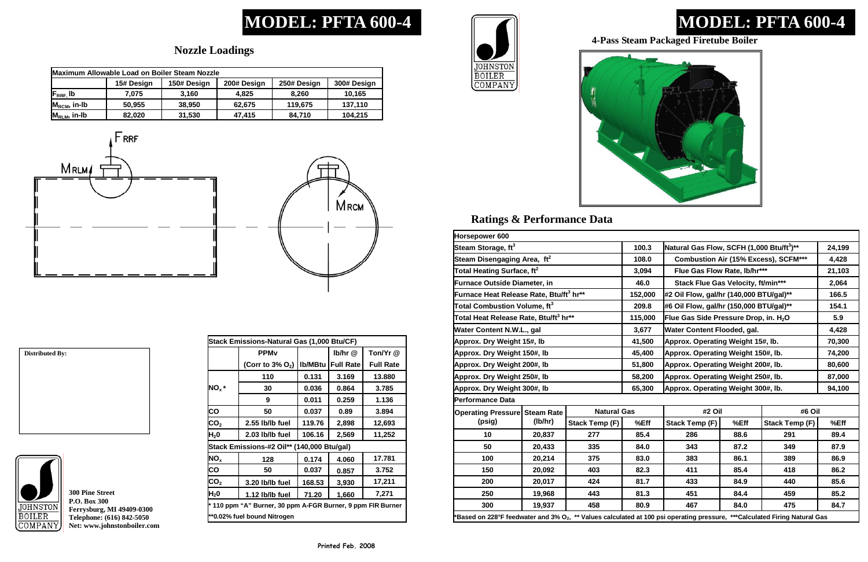# **MODEL: PFTA 600-4**

## **Ratings & Performance Data**

# **MODEL: PFTA 600-4**

# JOHNSTON<br>BOILER<br>COMPANY



## **Nozzle Loadings**

**300 Pine Street P.O. Box 300 Ferrysburg, MI 49409-0300 Telephone: (616) 842-5050 Net: www.johnstonboiler.com** 



### **4-Pass Steam Packaged Firetube Boiler**

| Maximum Allowable Load on Boiler Steam Nozzle |            |             |             |             |             |  |
|-----------------------------------------------|------------|-------------|-------------|-------------|-------------|--|
|                                               | 15# Design | 150# Design | 200# Design | 250# Design | 300# Design |  |
| $F_{RRF}$ , Ib                                | 7.075      | 3.160       | 4.825       | 8.260       | 10,165      |  |
| $M_{\text{RCM}}$ , in-Ib                      | 50,955     | 38,950      | 62,675      | 119,675     | 137,110     |  |
| $M_{RLM}$ , in-Ib                             | 82.020     | 31,530      | 47,415      | 84,710      | 104,215     |  |





| Horsepower 600                                                                                                                         |                                                     |                       |                                    |                                                       |      |                       |        |  |
|----------------------------------------------------------------------------------------------------------------------------------------|-----------------------------------------------------|-----------------------|------------------------------------|-------------------------------------------------------|------|-----------------------|--------|--|
| Steam Storage, ft <sup>3</sup>                                                                                                         |                                                     |                       | 100.3                              | Natural Gas Flow, SCFH (1,000 Btu/ft <sup>3</sup> )** |      |                       | 24,199 |  |
| Steam Disengaging Area, ft <sup>2</sup>                                                                                                |                                                     |                       | 108.0                              | <b>Combustion Air (15% Excess), SCFM***</b>           |      |                       | 4,428  |  |
|                                                                                                                                        | Total Heating Surface, ft $^2$                      |                       |                                    | Flue Gas Flow Rate, lb/hr***                          |      |                       | 21,103 |  |
| <b>Furnace Outside Diameter, in</b>                                                                                                    |                                                     |                       | 46.0                               | <b>Stack Flue Gas Velocity, ft/min***</b>             |      |                       | 2,064  |  |
|                                                                                                                                        | Furnace Heat Release Rate, Btu/ft <sup>3</sup> hr** |                       | 152,000                            | #2 Oil Flow, gal/hr (140,000 BTU/gal)**               |      |                       | 166.5  |  |
| Total Combustion Volume, $\mathfrak{ft}^3$                                                                                             |                                                     |                       | 209.8                              | #6 Oil Flow, gal/hr (150,000 BTU/gal)**               |      |                       | 154.1  |  |
| Total Heat Release Rate, Btu/ft <sup>3</sup> hr**                                                                                      |                                                     |                       | 115,000                            | Flue Gas Side Pressure Drop, in. H <sub>2</sub> O     |      |                       | 5.9    |  |
| Water Content N.W.L., gal                                                                                                              |                                                     |                       | 3,677                              | Water Content Flooded, gal.                           |      |                       | 4,428  |  |
| Approx. Dry Weight 15#, lb                                                                                                             |                                                     |                       | 41,500                             | Approx. Operating Weight 15#, lb.                     |      |                       | 70,300 |  |
| Approx. Dry Weight 150#, lb                                                                                                            |                                                     |                       | 45,400                             | Approx. Operating Weight 150#, lb.                    |      |                       | 74,200 |  |
| Approx. Dry Weight 200#, lb                                                                                                            |                                                     |                       | 51,800                             | Approx. Operating Weight 200#, lb.                    |      |                       | 80,600 |  |
| Approx. Dry Weight 250#, Ib                                                                                                            |                                                     | 58,200                | Approx. Operating Weight 250#, lb. |                                                       |      | 87,000                |        |  |
| Approx. Dry Weight 300#, lb                                                                                                            |                                                     | 65,300                | Approx. Operating Weight 300#, lb. |                                                       |      | 94,100                |        |  |
| Performance Data                                                                                                                       |                                                     |                       |                                    |                                                       |      |                       |        |  |
| <b>Operating Pressure Steam Rate</b>                                                                                                   |                                                     | <b>Natural Gas</b>    |                                    | #2 Oil                                                |      | #6 Oil                |        |  |
| (psig)                                                                                                                                 | (lb/hr)                                             | <b>Stack Temp (F)</b> | %Eff                               | <b>Stack Temp (F)</b>                                 | %Eff | <b>Stack Temp (F)</b> | %Eff   |  |
| 10                                                                                                                                     | 20,837                                              | 277                   | 85.4                               | 286                                                   | 88.6 | 291                   | 89.4   |  |
| 50                                                                                                                                     | 20,433                                              | 335                   | 84.0                               | 343                                                   | 87.2 | 349                   | 87.9   |  |
| 100                                                                                                                                    | 20,214                                              | 375                   | 83.0                               | 383                                                   | 86.1 | 389                   | 86.9   |  |
| 150                                                                                                                                    | 20,092                                              | 403                   | 82.3                               | 411                                                   | 85.4 | 418                   | 86.2   |  |
| 200                                                                                                                                    | 20,017                                              | 424                   | 81.7                               | 433                                                   | 84.9 | 440                   | 85.6   |  |
| 250                                                                                                                                    | 19,968                                              | 443                   | 81.3                               | 451                                                   | 84.4 | 459                   | 85.2   |  |
| 300                                                                                                                                    | 19,937                                              | 458                   | 80.9                               | 467                                                   | 84.0 | 475                   | 84.7   |  |
| 'Based on 228°F feedwater and 3% O <sub>2</sub> , ** Values calculated at 100 psi operating pressure, ***Calculated Firing Natural Gas |                                                     |                       |                                    |                                                       |      |                       |        |  |

| Stack Emissions-Natural Gas (1,000 Btu/CF)                  |                                 |                |                  |                  |  |  |
|-------------------------------------------------------------|---------------------------------|----------------|------------------|------------------|--|--|
|                                                             | <b>PPM<sub>v</sub></b>          |                | Ib/hr @          | Ton/Yr @         |  |  |
|                                                             | (Corr to $3\%$ O <sub>2</sub> ) | <b>Ib/MBtu</b> | <b>Full Rate</b> | <b>Full Rate</b> |  |  |
|                                                             | 110                             | 0.131          | 3.169            | 13.880           |  |  |
| $NO_x *$                                                    | 30                              | 0.036          | 0.864            | 3.785            |  |  |
|                                                             | 9                               | 0.011          | 0.259            | 1.136            |  |  |
| CO                                                          | 50                              | 0.037          | 0.89             | 3.894            |  |  |
| CO <sub>2</sub>                                             | 2.55 lb/lb fuel                 | 119.76         | 2,898            | 12,693           |  |  |
| H <sub>2</sub> 0                                            | 2.03 lb/lb fuel                 | 106.16         | 2,569            | 11,252           |  |  |
| Stack Emissions-#2 Oil** (140,000 Btu/gal)                  |                                 |                |                  |                  |  |  |
| NO <sub>x</sub>                                             | 128                             | 0.174          | 4.060            | 17.781           |  |  |
| CO                                                          | 50                              | 0.037          | 0.857            | 3.752            |  |  |
| CO <sub>2</sub>                                             | 3.20 lb/lb fuel                 | 168.53         | 3,930            | 17,211           |  |  |
| H <sub>2</sub> 0                                            | 1.12 lb/lb fuel                 | 71.20          | 1,660            | 7,271            |  |  |
| * 110 ppm "A" Burner, 30 ppm A-FGR Burner, 9 ppm FIR Burner |                                 |                |                  |                  |  |  |
| **0.02% fuel bound Nitrogen                                 |                                 |                |                  |                  |  |  |